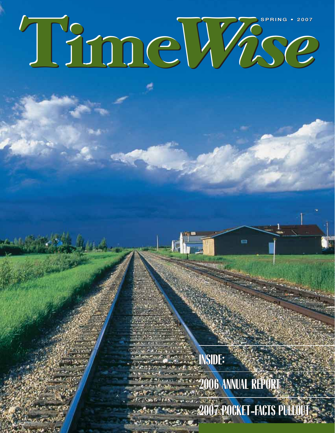# **SPRING • 2007 Time***Wise* **SPRING • 2007**

**INSIDE: INSIDE: 2006 ANNUAL REPORT 2006 ANNUAL REPORT**

**2007 POCKET-FACTS PULLOUT 2007 POCKET-FACTS PULLOUT NUMBER OF STREET** 

ē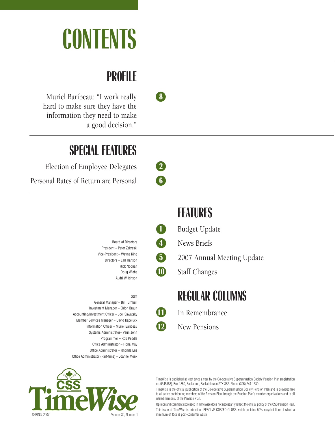# **CONTENTS**

### **PROFILE**

Muriel Baribeau: "I work really **8** hard to make sure they have the information they need to make a good decision."

### **SPECIAL FEATURES**

Election of Employee Delegates **2**

Personal Rates of Return are Personal **6**

Board of Directors President – Peter Zakreski Vice-President – Wayne King Directors – Earl Hanson Rick Noonan Doug Wiebe Audri Wilkinson

#### **Staff**

General Manager – Bill Turnbull Investment Manager – Eldon Braun Accounting/Investment Officer – Joel Sawatsky Member Services Manager – David Kapeluck Information Officer – Muriel Baribeau Systems Administrator– Vaun John Programmer – Rob Peddle Office Administrator – Fiona May Office Administrator – Rhonda Ens Office Administrator (Part-time) – Joanne Monk



### **FEATURES**

**1** Budget Update

**4** News Briefs

**5** 2007 Annual Meeting Update

**10** Staff Changes

**REGULAR COLUMNS**

**11** In Remembrance

**12** New Pensions

TimeWise is published at least twice a year by the Co-operative Superannuation Society Pension Plan (registration no. 0345868), Box 1850, Saskatoon, Saskatchewan S7K 3S2. Phone (306) 244-1539.

TimeWise is the official publication of the Co-operative Superannuation Society Pension Plan and is provided free to all active contributing members of the Pension Plan through the Pension Plan's member organizations and to all retired members of the Pension Plan.

Opinion and comment expressed in TimeWise does not necessarily reflect the official policy of the CSS Pension Plan. This issue of TimeWise is printed on RESOLVE COATED GLOSS which contains 50% recycled fibre of which a minimum of 15% is post-consumer waste.





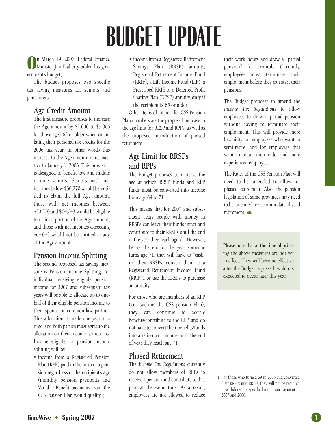# **BUDGET UPDATE**

**O** n March 19, 2007, Federal Finance Minister Jim Flaherty tabled his government's budget,

The budget proposes two specific tax saving measures for seniors and pensioners.

### **Age Credit Amount**

The first measure proposes to increase the Age amount by \$1,000 to \$5,066 for those aged 65 or older when calculating their personal tax credits for the 2006 tax year. In other words this increase to the Age amount is retroactive to January 1, 2006. This provision is designed to benefit low and middle income seniors. Seniors with net incomes below \$30,270 would be entitled to claim the full Age amount; those with net incomes between \$30,270 and \$64,043 would be eligible to claim a portion of the Age amount; and those with net incomes exceeding \$64,043 would not be entitled to any of the Age amount.

### **Pension Income Splitting**

The second proposed tax saving measure is Pension Income Splitting. An individual receiving eligible pension income for 2007 and subsequent tax years will be able to allocate up to onehalf of their eligible pension income to their spouse or common-law partner. This allocation is made one year at a time, and both parties must agree to the allocation on their income tax returns. Income eligible for pension income splitting will be:

• income from a Registered Pension Plan (RPP) paid in the form of a pension **regardless of the recipient's age** (monthly pension payments and Variable Benefit payments from the CSS Pension Plan would qualify);

• income from a Registered Retirement Savings Plan (RRSP) annuity, Registered Retirement Income Fund (RRIF), a Life Income Fund (LIF), a Prescribed RRIF, or a Deferred Profit Sharing Plan (DPSP) annuity, **only if the recipient is 65 or older**.

Other items of interest for CSS Pension Plan members are the proposed increase to the age limit for RRSP and RPPs, as well as the proposed introduction of phased retirement.

### **Age Limit for RRSPs and RPPs**

The Budget proposes to increase the age at which RRSP funds and RPP funds must be converted into income from age 69 to 71.

This means that for 2007 and subsequent years people with money in RRSPs can leave their funds intact and contribute to their RRSPs until the end of the year they reach age 71. However, before the end of the year someone turns age 71, they will have to "cashin" their RRSPs, convert them to a Registered Retirement Income Fund (RRIF)1 or use the RRSPs to purchase an annuity.

For those who are members of an RPP (i.e., such as the CSS pension Plan), they can continue to accrue benefits/contribute to the RPP, and do not have to convert their benefits/funds into a retirement income until the end of year they reach age 71.

### **Phased Retirement**

The *Income Tax Regulations* currently do not allow members of RPPs to receive a pension and contribute to that plan at the same time. As a result, employees are not allowed to reduce

their work hours and draw a "partial pension", for example. Currently, employees must terminate their employment before they can start their pensions.

The Budget proposes to amend the *Income Tax Regulations* to allow employees to draw a partial pension without having to terminate their employment. This will provide more flexibility for employees who want to semi-retire, and for employers that want to retain their older and more experienced employees.

The Rules of the CSS Pension Plan will need to be amended to allow for phased retirement. Also, the pension legislation of some provinces may need to be amended to accommodate phased retirement.

Please note that at the time of printing the above measures are not yet in effect. They will become effective after the Budget is passed, which is expected to occur later this year.

<sup>1</sup> For those who turned 69 in 2006 and converted their RRSPs into RRIFs, they will not be required to withdraw the specified minimum payment in 2007 and 2008.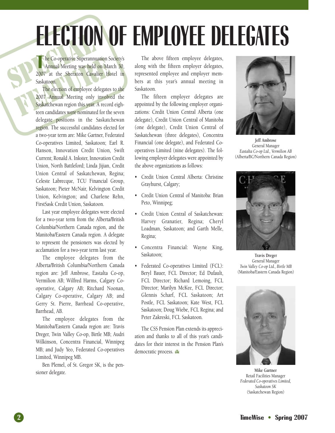# **ELECTION OF EMPLOYEE DELEGATES**

The Co-operative Superannus<br>
Annual Meeting was held<br>
Saskatoon.<br>
The election of employee of The Co-operative Superannuation Society's<br>Annual Meeting was held on March 30,<br>2007 at the Sheraton Cavalier Hotel in he Co-operative Superannuation Society's Annual Meeting was held on March 30, Saskatoon.

The Co-operative Superannuation Schematical Annual Meeting was held on Mar<br>2007 at the Sheraton Cavalier Ho<br>Saskatoon.<br>The election of employee delegates<br>2007 Annual Meeting only involve<br>Saskatchewan region this year. A re The election of employee delegates to the 2007 Annual Meeting only involved the Saskatchewan region this year. A record eighteen candidates were nominated for the seven delegate positions in the Saskatchewan region. The successful candidates elected for a two-year term are: Mike Gartner, Federated Co-operatives Limited, Saskatoon; Earl R. Hanson, Innovation Credit Union, Swift Current; Ronald A. Inkster, Innovation Credit Union, North Battleford; Linda Jijian, Credit Union Central of Saskatchewan, Regina; Celeste Labrecque, TCU Financial Group, Saskatoon; Pieter McNair, Kelvington Credit Union, Kelvington; and Charlene Rehn, FirstSask Credit Union, Saskatoon.

> Last year employee delegates were elected for a two-year term from the Alberta/British Columbia/Northern Canada region, and the Manitoba/Eastern Canada region. A delegate to represent the pensioners was elected by acclamation for a two-year term last year.

> The employee delegates from the Alberta/British Columbia/Northern Canada region are: Jeff Ambrose, Eastalta Co-op, Vermilion AB; Wilfred Harms, Calgary Cooperative, Calgary AB; Ritchard Noonan, Calgary Co-operative, Calgary AB; and Gerry St. Pierre, Barrhead Co-operative, Barrhead, AB.

> The employee delegates from the Manitoba/Eastern Canada region are: Travis Dreger, Twin Valley Co-op, Birtle MB; Audri Wilkinson, Concentra Financial, Winnipeg MB; and Judy Yeo, Federated Co-operatives Limited, Winnipeg MB.

> Ben Plemel, of St. Gregor SK, is the pensioner delegate.

The above fifteen employee delegates, along with the fifteen employer delegates, represented employee and employer members at this year's annual meeting in Saskatoon.

The fifteen employer delegates are appointed by the following employer organizations: Credit Union Central Alberta (one delegate), Credit Union Central of Manitoba (one delegate), Credit Union Central of Saskatchewan (three delegates), Concentra Financial (one delegate), and Federated Cooperatives Limited (nine delegates). The following employer delegates were appointed by the above organizations as follows:

- Credit Union Central Alberta: Christine Grayhurst, Calgary;
- Credit Union Central of Manitoba: Brian Peto, Winnipeg;
- Credit Union Central of Saskatchewan: Harvey Granatier, Regina; Cheryl Loadman, Saskatoon; and Garth Melle, Regina;
- Concentra Financial: Wayne King, Saskatoon;
- Federated Co-operatives Limited (FCL): Beryl Bauer, FCL Director; Ed Dufault, FCL Director; Richard Lemoing, FCL Director; Marilyn McKee, FCL Director; Glennis Scharf, FCL Saskatoon; Art Postle, FCL Saskatoon; Kate West, FCL Saskatoon; Doug Wiebe, FCL Regina; and Peter Zakreski, FCL Saskatoon.

The CSS Pension Plan extends its appreciation and thanks to all of this year's candidates for their interest in the Pension Plan's democratic process.



**Jeff Ambrose** General Manager *Eastalta Co-op Ltd., Vermilion AB* (Alberta/BC/Northern Canada Region)



**Travis Dreger** General Manager *Twin Valley Co-op Ltd., Birtle MB* (Manitoba/Eastern Canada Region)



**Mike Gartner** Retail Facilities Manager *Federated Co-operatives Limited, Saskatoon SK* (Saskatchewan Region)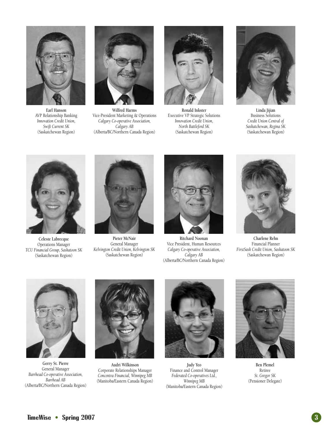

**Earl Hanson** AVP Relationship Banking *Innovation Credit Union, Swift Current SK* (Saskatchewan Region)



**Wilfred Harms** Vice-President Marketing & Operations *Calgary Co-operative Association, Calgary AB* (Alberta/BC/Northern Canada Region)



**Ronald Inkster** Executive VP Strategic Solutions *Innovation Credit Union, North Battleford SK* (Saskatchewan Region)



**Linda Jijian** Business Solutions *Credit Union Central of Saskatchewan, Regina SK* (Saskatchewan Region)



**Celeste Labrecque** Operations Manager *TCU Financial Group, Saskatoon SK* (Saskatchewan Region)



**Pieter McNair** General Manager *Kelvington Credit Union, Kelvington SK* (Saskatchewan Region)



**Ritchard Noonan** Vice President, Human Resources *Calgary Co-operative Association, Calgary AB* (Alberta/BC/Northern Canada Region)



**Charlene Rehn** Financial Planner *FirstSask Credit Union, Saskatoon SK* (Saskatchewan Region)



**Gerry St. Pierre** General Manager *Barrhead Co-operative Association, Barrhead AB* (Alberta/BC/Northern Canada Region)



**Audri Wilkinson** Corporate Relationships Manager *Concentra Financial, Winnipeg MB* (Manitoba/Eastern Canada Region)



**Judy Yeo** Finance and Control Manager *Federated Co-operatives Ltd., Winnipeg MB* (Manitoba/Eastern Canada Region)



**Ben Plemel** Retiree *St. Gregor SK* (Pensioner Delegate)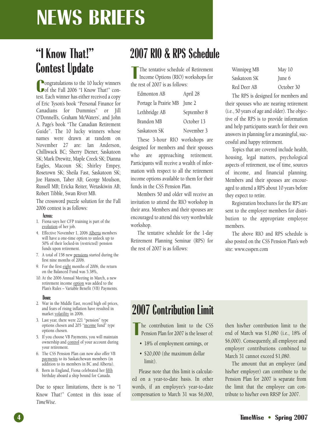### **NEWS BRIEFS**

### **"I Know That!" Contest Update**

**C**ongratulations to the 10 lucky winners<br>
of the Fall 2006 "I Know That!" con-**Ongratulations to the 10 lucky winners** test. Each winner has either received a copy of Eric Tyson's book "Personal Finance for Canadians for Dummies" or Jill O'Donnell's, Graham McWaters', and John A. Page's book "The Canadian Retirement Guide". The 10 lucky winners whose names were drawn at random on November 27 are: Ian Anderson, Chilliwack BC; Sherry Diener, Saskatoon SK; Mark Drewitz, Maple Creek SK; Dianna Eagles, Macoun SK; Shirley Empey, Rosetown SK; Sheila Fast, Saskatoon SK; Joe Hanson, Taber AB; George Moulson, Russell MB; Ericka Reiter, Wetaskiwin AB; Robert Tibble, Swan River MB.

The crossword puzzle solution for the Fall 2006 contest is as follows:

#### **Across:**

- 1. Fiona says her CFP training is part of the evolution of her job.
- 4. Effective November 1, 2006 Alberta members will have a one-time option to unlock up to 50% of their locked-in (restricted) pension funds upon retirement.
- 7. A total of 158 new pensions started during the first nine months of 2006.
- 9. For the first eight months of 2006, the return on the Balanced Fund was 5.38%,
- 10. At the 2006 Annual Meeting in March, a new retirement income option was added to the Plan's Rules – Variable Benefit (VB) Payments.

#### **Down:**

- 2. War in the Middle East, record high oil prices, and fears of rising inflation have resulted in market volatility in 2006.
- 3. Last year, there were 221 "pension" type options chosen and 205 "income fund" type options chosen.
- 5. If you choose VB Payments, you will maintain ownership and control of your account during your retirement.
- 6. The CSS Pension Plan can now also offer VB payments to its Saskatchewan members (in addition to its members in BC and Alberta).
- 8. Born in England, Fiona celebrated her fifth birthday aboard a ship bound for Canada.

Due to space limitations, there is no "I Know That!" Contest in this issue of *TimeWise*.

### **2007 RIO & RPS Schedule**

The tentative schedule c<br>
Income Options (RIO) w<br>
the rest of 2007 is as follows: The tentative schedule of Retirement Income Options (RIO) workshops for

| Edmonton AB                  | April 28    |
|------------------------------|-------------|
| Portage la Prairie MB June 2 |             |
| Lethbridge AB                | September 8 |
| Brandon MB                   | October 13  |
| Saskatoon SK                 | November 3  |

These 3-hour RIO workshops are designed for members and their spouses who are approaching retirement. Participants will receive a wealth of information with respect to all the retirement income options available to them for their funds in the CSS Pension Plan.

Members 50 and older will receive an invitation to attend the RIO workshop in their area. Members and their spouses are encouraged to attend this very worthwhile workshop.

The tentative schedule for the 1-day Retirement Planning Seminar (RPS) for the rest of 2007 is as follows:

| Winnipeg MB  | May 10     |
|--------------|------------|
| Saskatoon SK | June 6     |
| Red Deer AB  | October 30 |

The RPS is designed for members and their spouses who are nearing retirement (i.e., 50 years of age and older). The objective of the RPS is to provide information and help participants search for their own answers in planning for a meaningful, successful and happy retirement.

Topics that are covered include health, housing, legal matters, psychological aspects of retirement, use of time, sources of income, and financial planning. Members and their spouses are encouraged to attend a RPS about 10 years before they expect to retire.

Registration brochures for the RPS are sent to the employer members for distribution to the appropriate employee members.

The above RIO and RPS schedule is also posted on the CSS Pension Plan's web site: www.csspen.com

### **2007 Contribution Limit**

**T** he contribution limit to the CSS Pension Plan for 2007 is the lesser of:

- 18% of employment earnings, or
- \$20,000 (the maximum dollar limit).

Please note that this limit is calculated on a year-to-date basis. In other words, if an employee's year-to-date compensation to March 31 was \$6,000,

then his/her contribution limit to the end of March was \$1,080 (i.e., 18% of \$6,000). Consequently, all employee and employer contributions combined to March 31 cannot exceed \$1,080.

The amount that an employee (and his/her employer) can contribute to the Pension Plan for 2007 is separate from the limit that the employee can contribute to his/her own RRSP for 2007.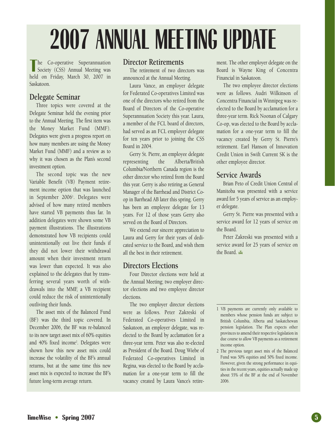# **2007 ANNUAL MEETING UPDATE**

The Co-operative Superannuation<br>
Society (CSS) Annual Meeting was<br>
held on Friday, March 30, 2007 in he Co-operative Superannuation Society (CSS) Annual Meeting was Saskatoon.

### **Delegate Seminar**

Three topics were covered at the Delegate Seminar held the evening prior to the Annual Meeting. The first item was the Money Market Fund (MMF). Delegates were given a progress report on how many members are using the Money Market Fund (MMF) and a review as to why it was chosen as the Plan's second investment option.

The second topic was the new Variable Benefit (VB) Payment retirement income option that was launched in September 20061 . Delegates were advised of how many retired members have started VB payments thus far. In addition delegates were shown some VB payment illustrations. The illustrations demonstrated how VB recipients could unintentionally out live their funds if they did not lower their withdrawal amount when their investment return was lower than expected. It was also explained to the delegates that by transferring several years worth of withdrawals into the MMF, a VB recipient could reduce the risk of unintentionally outliving their funds.

The asset mix of the Balanced Fund (BF) was the third topic covered. In December 2006, the BF was re-balanced to its new target asset mix of 60% equities and 40% fixed income<sup>2</sup>. Delegates were shown how this new asset mix could increase the volatility of the BF's annual returns, but at the same time this new asset mix is expected to increase the BF's future long-term average return.

#### **Director Retirements**

The retirement of two directors was announced at the Annual Meeting.

Laura Vance, an employer delegate for Federated Co-operatives Limited was one of the directors who retired from the Board of Directors of the Co-operative Superannuation Society this year. Laura, a member of the FCL board of directors, had served as an FCL employer delegate for ten years prior to joining the CSS Board in 2004.

Gerry St. Pierre, an employee delegate representing the Alberta/British Columbia/Northern Canada region is the other director who retired from the Board this year. Gerry is also retiring as General Manager of the Barrhead and District Coop in Barrhead AB later this spring. Gerry has been an employee delegate for 13 years. For 12 of those years Gerry also served on the Board of Directors.

We extend our sincere appreciation to Laura and Gerry for their years of dedicated service to the Board, and wish them all the best in their retirement.

#### **Directors Elections**

Four Director elections were held at the Annual Meeting; two employer director elections and two employee director elections.

The two employer director elections were as follows. Peter Zakreski of Federated Co-operatives Limited in Saskatoon, an employer delegate, was reelected to the Board by acclamation for a three-year term. Peter was also re-elected as President of the Board. Doug Wiebe of Federated Co-operatives Limited in Regina, was elected to the Board by acclamation for a one-year term to fill the vacancy created by Laura Vance's retirement. The other employer delegate on the Board is Wayne King of Concentra Financial in Saskatoon.

The two employee director elections were as follows. Audri Wilkinson of Concentra Financial in Winnipeg was reelected to the Board by acclamation for a three-year term. Rick Noonan of Calgary Co-op, was elected to the Board by acclamation for a one-year term to fill the vacancy created by Gerry St. Pierre's retirement. Earl Hanson of Innovation Credit Union in Swift Current SK is the other employee director.

#### **Service Awards**

Brian Peto of Credit Union Central of Manitoba was presented with a service award for 5 years of service as an employer delegate.

Gerry St. Pierre was presented with a service award for 12 years of service on the Board.

Peter Zakreski was presented with a service award for 25 years of service on the Board.

<sup>1</sup> VB payments are currently only available to members whose pension funds are subject to British Columbia, Alberta and Saskatchewan pension legislation. The Plan expects other provinces to amend their respective legislation in due course to allow VB payments as a retirement income option.

<sup>2</sup> The previous target asset mix of the Balanced Fund was 50% equities and 50% fixed income. However, given the strong performance in equities in the recent years, equities actually made up about 55% of the BF at the end of November 2006.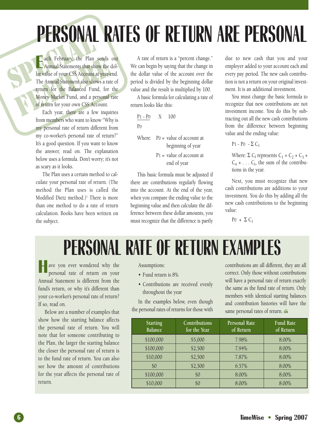# **PERSONAL RATES OF RETURN ARE PERSONAL**

ENDUNAL ach February, the Plan sends<br>Annual Statements that show the c<br>Iar value of your CSS Account at year-<br>The Annual Statement also shows a rate<br>return for the Balanced Fund, for<br>Money Market Fund, and a personal 1<br>of return f **E** ach February, the Plan sends out Annual Statements that show the dollar value of your CSS Account at year-end. The Annual Statement also shows a rate of return for the Balanced Fund, for the Money Market Fund, and a personal rate of return for your own CSS Account.

Each year, there are a few inquiries from members who want to know "Why is my personal rate of return different from my co-worker's personal rate of return?" It's a good question. If you want to know the answer, read on. The explanation below uses a formula. Don't worry; it's not as scary as it looks.

The Plan uses a certain method to calculate your personal rate of return. (The method the Plan uses is called the Modified Dietz method.)<sup>1</sup> There is more than one method to do a rate of return calculation. Books have been written on the subject.

A rate of return is a "percent change." We can begin by saying that the change in the dollar value of the account over the period is divided by the beginning dollar value and the result is multiplied by 100.

A basic formula for calculating a rate of return looks like this:

| $P1 - P0 X 100$ |                                                        |
|-----------------|--------------------------------------------------------|
| P <sub>0</sub>  |                                                        |
|                 | Where: $Po = value of account at$<br>beginning of year |
|                 | $P1 =$ value of account at<br>end of year              |

This basic formula must be adjusted if there are contributions regularly flowing into the account. At the end of the year, when you compare the ending value to the beginning value and then calculate the difference between these dollar amounts, you must recognize that the difference is partly due to new cash that you and your employer added to your account each and every pay period. The new cash contribution is not a return on your original investment. It is an additional investment.

You must change the basic formula to recognize that new contributions are not investment income. You do this by subtracting out all the new cash contributions from the difference between beginning value and the ending value:

P<sub>1</sub> - P<sub>0</sub> -  $\Sigma$  C<sub>i</sub>

Where:  $\Sigma$  C<sub>i</sub> represents C<sub>1</sub> + C<sub>2</sub> + C<sub>3</sub> +  $C_4$  + . . .  $C_i$ , the sum of the contributions in the year.

Next, you must recognize that new cash contributions are additions to your investment. You do this by adding all the new cash contributions to the beginning value:

 $P0 + \Sigma C_i$ 

### **PERSONAL RATE OF RETURN EXAMPLES**

ave you ever wondered why the personal rate of return on your Annual Statement is different from the fund's return, or why it's different than your co-worker's personal rate of return? If so, read on.

Below are a number of examples that show how the starting balance affects the personal rate of return. You will note that for someone contributing to the Plan, the larger the starting balance the closer the personal rate of return is to the fund rate of return. You can also see how the amount of contributions for the year affects the personal rate of return.

Assumptions:

- Fund return is 8%
- Contributions are received evenly throughout the year

In the examples below, even though the personal rates of returns for those with contributions are all different, they are all correct. Only those without contributions will have a personal rate of return exactly the same as the fund rate of return. Only members with identical starting balances and contribution histories will have the same personal rates of return.

| <b>Starting</b><br><b>Balance</b> | Contributions<br>for the Year | <b>Personal Rate</b><br>of Return | <b>Fund Rate</b><br>of Return |
|-----------------------------------|-------------------------------|-----------------------------------|-------------------------------|
| \$100,000                         | \$5,000                       | 7.98%                             | 8.00%                         |
| \$100,000                         | \$2,500                       | 7.94%                             | 8.00%                         |
| \$10,000                          | \$2,500                       | 7.87%                             | 8.00%                         |
| \$0                               | \$2,500                       | 6.57%                             | 8.00%                         |
| \$100,000                         | \$0                           | 8.00%                             | 8.00%                         |
| \$10,000                          | \$0                           | 8.00%                             | 8.00%                         |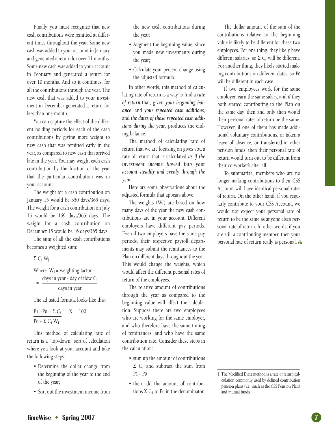Finally, you must recognize that new cash contributions were remitted at different times throughout the year. Some new cash was added to your account in January and generated a return for over 11 months. Some new cash was added to your account in February and generated a return for over 10 months. And so it continues, for all the contributions through the year. The new cash that was added to your investment in December generated a return for less than one month.

You can capture the effect of the different holding periods for each of the cash contributions by giving more weight to new cash that was remitted early in the year, as compared to new cash that arrived late in the year. You may weight each cash contribution by the fraction of the year that the particular contribution was in your account.

The weight for a cash contribution on January 15 would be 350 days/365 days. The weight for a cash contribution on July 15 would be 169 days/365 days. The weight for a cash contribution on December 15 would be 16 days/365 days.

The sum of all the cash contributions becomes a weighted sum:

Σ Ci Wi

Where:  $W_i$  = weighting factor days in year - day of flow  $C_i$ days in year =

The adjusted formula looks like this:

 $P1 - P0 - \Sigma C_i$  X 100  $P0 + \Sigma C_i W_i$ 

This method of calculating rate of return is a "top-down" sort of calculation where you look at your account and take the following steps:

- Determine the dollar change from the beginning of the year to the end of the year;
- Sort out the investment income from

the new cash contributions during the year;

- Augment the beginning value, since you made new investments during the year;
- Calculate your percent change using the adjusted formula.

In other words, this method of calculating rate of return is a way to find a *rate of return* that, given *your beginning balance*, and *your repeated cash additions*, and *the dates of those repeated cash additions during the year*, produces the ending balance.

The method of calculating rate of return that we are focusing on gives you a rate of return that is calculated *as if the investment income flowed into your account steadily and evenly through the year*.

Here are some observations about the adjusted formula that appears above:

The weights  $(W_i)$  are based on how many days of the year the new cash contributions are in your account. Different employers have different pay periods. Even if two employers have the same pay periods, their respective payroll departments may submit the remittances to the Plan on different days throughout the year. This would change the weights, which would affect the different personal rates of return of the employees.

The relative amount of contributions through the year as compared to the beginning value will affect the calculation. Suppose there are two employees who are working for the same employer, and who therefore have the same timing of remittances, and who have the same contribution rate. Consider these steps in the calculation:

- sum up the amount of contributions  $Σ$  C<sub>i</sub> and subtract the sum from P1 - P0
- then add the amount of contributions  $\Sigma$  C<sub>i</sub> to P0 in the denominator.

The dollar amount of the sum of the contributions relative to the beginning value is likely to be different for these two employees. For one thing, they likely have different salaries, so  $\Sigma$  C<sub>i</sub> will be different. For another thing, they likely started making contributions on different dates, so P0 will be different in each case.

If two employees work for the same employer, earn the same salary, and if they both started contributing to the Plan on the same day, then and only then would their personal rates of return be the same. However, if one of them has made additional voluntary contributions, or taken a leave of absence, or transferred-in other pension funds, then their personal rate of return would turn out to be different from their co-worker's after all.

To summarize, members who are no longer making contributions to their CSS Account will have identical personal rates of return. On the other hand, if you regularly contribute to your CSS Account, we would not expect your personal rate of return to be the same as anyone else's personal rate of return. In other words, if you are still a contributing member, then your personal rate of return really is personal.

<sup>1</sup> The Modified Dietz method is a rate of return calculation commonly used by defined contribution pension plans (i.e., such as the CSS Pension Plan) and mutual funds.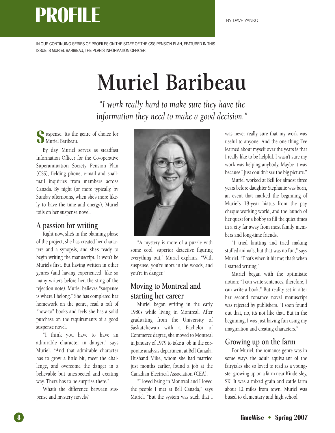### **PROFILE**

IN OUR CONTINUING SERIES OF PROFILES ON THE STAFF OF THE CSS PENSION PLAN, FEATURED IN THIS ISSUE IS MURIEL BARIBEAU, THE PLAN'S INFORMATION OFFICER.

## **Muriel Baribeau**

*"I work really hard to make sure they have the information they need to make a good decision."*

**S** uspense. It's the genre of choice for Muriel Baribeau.

By day, Muriel serves as steadfast Information Officer for the Co-operative Superannuation Society Pension Plan (CSS), fielding phone, e-mail and snailmail inquiries from members across Canada. By night (or more typically, by Sunday afternoons, when she's more likely to have the time and energy), Muriel toils on her suspense novel.

### **A passion for writing**

Right now, she's in the planning phase of the project; she has created her characters and a synopsis, and she's ready to begin writing the manuscript. It won't be Muriel's first. But having written in other genres (and having experienced, like so many writers before her, the sting of the rejection note), Muriel believes "suspense is where I belong." She has completed her homework on the genre, read a raft of "how-to" books and feels she has a solid purchase on the requirements of a good suspense novel.

"I think you have to have an admirable character in danger," says Muriel. "And that admirable character has to grow a little bit, meet the challenge, and overcome the danger in a believable but unexpected and exciting way. There has to be surprise there."

What's the difference between suspense and mystery novels?



"A mystery is more of a puzzle with some cool, superior detective figuring everything out," Muriel explains. "With suspense, you're more in the woods, and you're in danger."

### **Moving to Montreal and starting her career**

Muriel began writing in the early 1980s while living in Montreal. After graduating from the University of Saskatchewan with a Bachelor of Commerce degree, she moved to Montreal in January of 1979 to take a job in the corporate analysis department at Bell Canada. Husband Mike, whom she had married just months earlier, found a job at the Canadian Electrical Association (CEA).

"I loved being in Montreal and I loved the people I met at Bell Canada," says Muriel. "But the system was such that I

was never really sure that my work was useful to anyone. And the one thing I've learned about myself over the years is that I really like to be helpful. I wasn't sure my work was helping anybody. Maybe it was because I just couldn't see the big picture."

Muriel worked at Bell for almost three years before daughter Stephanie was born, an event that marked the beginning of Muriel's 18-year hiatus from the pay cheque working world, and the launch of her quest for a hobby to fill the quiet times in a city far away from most family members and long-time friends.

"I tried knitting and tried making stuffed animals, but that was no fun," says Muriel. "That's when it hit me; that's when I started writing."

Muriel began with the optimistic notion: "I can write sentences, therefore, I can write a book." But reality set in after her second romance novel manuscript was rejected by publishers. "I soon found out that, no, it's not like that. But in the beginning, I was just having fun using my imagination and creating characters."

### **Growing up on the farm**

For Muriel, the romance genre was in some ways the adult equivalent of the fairytales she so loved to read as a youngster growing up on a farm near Kindersley, SK. It was a mixed grain and cattle farm about 12 miles from town. Muriel was bused to elementary and high school.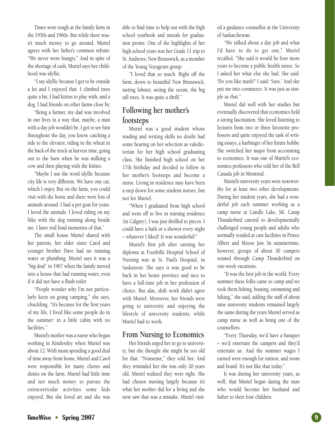Times were tough at the family farm in the 1950s and 1960s. But while there wasn't much money to go around, Muriel agrees with her father's common refrain: "We never went hungry." And in spite of the shortage of cash, Muriel says her childhood was idyllic.

"I say idyllic because I got to be outside a lot and I enjoyed that. I climbed trees quite a bit; I had kitties to play with, and a dog. I had friends on other farms close by.

"Being a farmer, my dad was involved in our lives in a way that, maybe, a man with a day job wouldn't be. I got to see him throughout the day, you know, catching a ride to the elevator, riding in the wheat in the back of the truck at harvest time, going out to the barn when he was milking a cow and then playing with the kitties.

"Maybe I use the word idyllic because city life is very different. We have one cat, which I enjoy. But on the farm, you could visit with the horse and there were lots of animals around. I had a pet goat for years. I loved the animals. I loved riding on my bike with the dog running along beside me. I have real fond memories of that."

The small house Muriel shared with her parents, her older sister Carol and younger brother Dave had no running water or plumbing. Muriel says it was a "big deal" in 1967 when the family moved into a house that had running water, even if it did not have a flush toilet.

"People wonder why I'm not particularly keen on going camping," she says, chuckling. "It's because for the first years of my life, I lived like some people do in the summer: in a little cabin with no facilities."

Muriel's mother was a nurse who began working in Kindersley when Muriel was about 12. With mom spending a good deal of time away from home, Muriel and Carol were responsible for many chores and duties on the farm. Muriel had little time and not much money to pursue the extracurricular activities some kids enjoyed. But she loved art and she was

able to find time to help out with the high school yearbook and murals for graduation proms. One of the highlights of her high school years was her Grade 11 trip to St. Andrews, New Brunswick, as a member of the Young Voyageurs group.

"I loved that so much. Right off the farm, down to beautiful New Brunswick, tasting lobster, seeing the ocean, the big tall trees. It was quite a thrill."

### **Following her mother's footsteps**

Muriel was a good student whose reading and writing skills no doubt had some bearing on her selection as valedictorian for her high school graduating class. She finished high school on her 17th birthday and decided to follow in her mother's footsteps and become a nurse. Living in residence may have been a step down for some student nurses, but not for Muriel.

"When I graduated from high school and went off to live in nursing residence (in Calgary), I was just thrilled to pieces. I could have a bath or a shower every night – whatever I liked! It was wonderful!"

Muriel's first job after earning her diploma at Foothills Hospital School of Nursing was at St. Paul's Hospital, in Saskatoon. She says it was good to be back in her home province and nice to have a full-time job in her profession of choice. But alas, shift work didn't agree with Muriel. Moreover, her friends were going to university and enjoying the lifestyle of university students, while Muriel had to work.

### **From Nursing to Economics**

Her friends urged her to go to university, but she thought she might be too old for that. "Nonsense," they told her. And they reminded her she was only 20 years old. Muriel realized they were right. She had chosen nursing largely because it's what her mother did for a living and she now saw that was a mistake. Muriel visit-

ed a guidance counsellor at the University of Saskatchewan.

"We talked about a day job and what I'd have to do to get one," Muriel recalled. "She said it would be four more years to become a public health nurse. So I asked her what else she had. She said: 'Do you like math?' I said: 'Sure.' And she put me into commerce. It was just as simple as that."

Muriel did well with her studies but eventually discovered that economics held a strong fascination. She loved listening to lectures from two or three favourite professors and quite enjoyed the task of writing essays, a harbinger of her future hobby. She switched her major from accounting to economics. It was one of Muriel's economics professors who told her of the Bell Canada job in Montreal.

Muriel's university years were noteworthy for at least two other developments. During her student years, she had a wonderful job each summer working as a camp nurse at Candle Lake, SK. Camp Thunderbird catered to developmentally challenged young people and adults who normally resided at care facilities in Prince Albert and Moose Jaw. In summertime, however, groups of about 30 campers rotated through Camp Thunderbird on one-week vacations.

"It was the best job in the world. Every summer these folks came to camp and we took them fishing, boating, swimming and hiking," she said, adding the staff of about nine university students remained largely the same during the years Muriel served as camp nurse as well as being one of the counsellors.

"Every Thursday, we'd have a banquet – we'd entertain the campers and they'd entertain us. And the summer wages I earned were enough for tuition, and room and board. It's not like that today."

It was during her university years, as well, that Muriel began dating the man who would become her husband and father to their four children.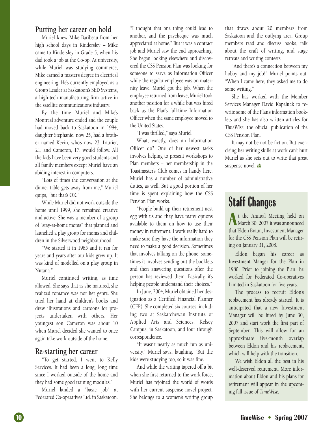### **Putting her career on hold**

Muriel knew Mike Baribeau from her high school days in Kindersley – Mike came to Kindersley in Grade 5, when his dad took a job at the Co-op. At university, while Muriel was studying commerce, Mike earned a master's degree in electrical engineering. He's currently employed as a Group Leader at Saskatoon's SED Systems, a high-tech manufacturing firm active in the satellite communications industry.

By the time Muriel and Mike's Montreal adventure ended and the couple had moved back to Saskatoon in 1984, daughter Stephanie, now 25, had a brother named Kevin, who's now 23. Laurier, 21, and Cameron, 17, would follow. All the kids have been very good students and all family members except Muriel have an abiding interest in computers.

"Lots of times the conversation at the dinner table gets away from me," Muriel quips, "but that's OK."

While Muriel did not work outside the home until 1999, she remained creative and active. She was a member of a group of "stay-at-home moms" that planned and launched a play group for moms and children in the Silverwood neighbourhood.

"We started it in 1985 and it ran for years and years after our kids grew up. It was kind of modelled on a play group in Nutana."

Muriel continued writing, as time allowed. She says that as she matured, she realized romance was not her genre. She tried her hand at children's books and drew illustrations and cartoons for projects undertaken with others. Her youngest son Cameron was about 10 when Muriel decided she wanted to once again take work outside of the home.

### **Re-starting her career**

"To get started, I went to Kelly Services. It had been a long, long time since I worked outside of the home and they had some good training modules."

Muriel landed a "basic job" at Federated Co-operatives Ltd. in Saskatoon.

"I thought that one thing could lead to another, and the paycheque was much appreciated at home." But it was a contract job and Muriel saw the end approaching. She began looking elsewhere and discovered the CSS Pension Plan was looking for someone to serve as Information Officer while the regular employee was on maternity leave. Muriel got the job. When the employee returned from leave, Muriel took another position for a while but was hired back as the Plan's full-time Information Officer when the same employee moved to the United States.

"I was thrilled," says Muriel.

What, exactly, does an Information Officer do? One of her newest tasks involves helping to present workshops to Plan members – her membership in the Toastmaster's Club comes in handy here. Muriel has a number of administrative duties, as well. But a good portion of her time is spent explaining how the CSS Pension Plan works.

"People build up their retirement nest egg with us and they have many options available to them on how to use their money in retirement. I work really hard to make sure they have the information they need to make a good decision. Sometimes that involves talking on the phone, sometimes it involves sending out the booklets and then answering questions after the person has reviewed them. Basically, it's helping people understand their choices."

In June, 2004, Muriel obtained her designation as a Certified Financial Planner (CFP). She completed six courses, including two at Saskatchewan Institute of Applied Arts and Sciences, Kelsey Campus, in Saskatoon, and four through correspondence.

"It wasn't nearly as much fun as university," Muriel says, laughing. "But the kids were studying too, so it was fine.

And while the writing tapered off a bit when she first returned to the work force, Muriel has rejoined the world of words with her current suspense novel project. She belongs to a women's writing group that draws about 20 members from Saskatoon and the outlying area. Group members read and discuss books, talk about the craft of writing, and stage retreats and writing contests.

"And there's a connection between my hobby and my job!" Muriel points out. "When I came here, they asked me to do some writing."

She has worked with the Member Services Manager David Kapeluck to rewrite some of the Plan's information booklets and she has also written articles for *TimeWise*, the official publication of the CSS Pension Plan.

It may not be not be fiction. But exercising her writing skills at work can't hurt Muriel as she sets out to write that great suspense novel.

### **Staff Changes**

**A** t the Annual Meeting held on March 30, 2007 it was announced that Eldon Braun, Investment Manager for the CSS Pension Plan will be retiring on January 31, 2008.

Eldon began his career as Investment Manger for the Plan in 1980. Prior to joining the Plan, he worked for Federated Co-operatives Limited in Saskatoon for five years.

The process to recruit Eldon's replacement has already started. It is anticipated that a new Investment Manager will be hired by June 30, 2007 and start work the first part of September. This will allow for an approximate five-month overlap between Eldon and his replacement, which will help with the transition.

We wish Eldon all the best in his well-deserved retirement. More information about Eldon and his plans for retirement will appear in the upcoming fall issue of *TimeWise*.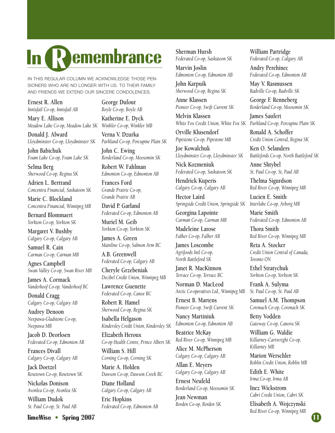### **R In emembrance**

IN THIS REGULAR COLUMN WE ACKNOWLEDGE THOSE PEN-SIONERS WHO ARE NO LONGER WITH US. TO THEIR FAMILY AND FRIENDS WE EXTEND OUR SINCERE CONDOLENCES.

**Ernest R. Allen** *Innisfail Co-op, Innisfail AB*

**Mary E. Allison** *Meadow Lake Co-op, Meadow Lake SK*

**Donald J. Alward** *Lloydminster Co-op, Lloydminster SK*

**John Babichuk** *Foam Lake Co-op, Foam Lake SK*

**Selma Berg** *Sherwood Co-op, Regina SK*

**Adrien L. Bertrand** *Concentra Financial, Saskatoon SK*

**Marie C. Blockland** *Concentra Financial, Winnipeg MB*

**Bernard Blommaert** *Yorkton Co-op, Yorkton SK*

**Margaret V. Bushby** *Calgary Co-op, Calgary AB*

**Samuel R. Cain** *Carman Co-op, Carman MB*

**Agnes Campbell** *Swan Valley Co-op, Swan River MB*

**James A. Cormack** *Vanderhoof Co-op, Vanderhoof BC*

**Donald Cragg** *Calgary Co-op, Calgary AB*

**Audrey Denoon** *Neepawa-Gladstone Co-op, Neepawa MB*

**Jacob D. Deorksen** *Federated Co-op, Edmonton AB*

**Frances Divall** *Calgary Co-op, Calgary AB*

**Jack Doetzel** *Rosetown Co-op, Rosetown SK*

**Nickolas Donison** *Avonlea Co-op, Avonlea SK* **William Dudok**

*St. Paul Co-op, St. Paul AB*

**George Dufour** *Boyle Co-op, Boyle AB*

**Katherine E. Dyck** *Winkler Co-op, Winkler MB*

**Verna V. Dzurka** *Parkland Co-op, Porcupine Plain SK*

**John C. Ewing** *Borderland Co-op, Moosomin SK*

**Robert W. Fahlman** *Edmonton Co-op, Edmonton AB*

**Frances Ford** *Grande Prairie Co-op, Grande Prairie AB*

**David P. Garland** *Federated Co-op, Edmonton AB*

**Muriel M. Geib** *Yorkton Co-op, Yorkton SK*

**James A. Green** *Mainline Co-op, Salmon Arm BC*

**A.B. Greenwell** *Federated Co-op, Calgary AB*

**Cheryle Grzebeniak** *Decibel Credit Union, Winnipeg MB*

**Lawrence Guenette** *Federated Co-op, Canoe BC*

**Robert R. Hamel** *Sherwood Co-op, Regina SK*

**Isabella Helgason** *Kindersley Credit Union, Kindersley SK*

**Elizabeth Heroux** *Co-op Health Centre, Prince Albert SK* **William S. Hill**

*Corning Co-op, Corning SK* **Marie A. Holden**

*Dawson Co-op, Dawson Creek BC*

**Diane Holland** *Calgary Co-op, Calgary AB* **Eric Hopkins** *Federated Co-op, Edmonton AB* **Sherman Hursh** *Federated Co-op, Saskatoon SK*

**Marvin Joslin** *Edmonton Co-op, Edmonton AB*

**John Karpuik** *Sherwood Co-op, Regina SK*

**Anne Klassen** *Pioneer Co-op, Swift Current SK*

**Melvin Klassen** *White Fox Credit Union, White Fox SK Parkland Co-op, Porcupine Plain SK*

**Orville Klusendorf** *Pipestone Co-op, Pipestone MB*

**Joe Kowalchuk** *Lloydminster Co-op, Lloydminster SK*

**Nick Kozmeniuk** *Federated Co-op, Saskatoon SK*

**Hendrick Kuperis** *Calgary Co-op, Calgary AB*

**Hector Laird** *Springside Credit Union, Springside SK*

**Georgina Lapointe** *Carman Co-op, Carman MB*

**Madeleine Larose** *Falher Co-op, Falher AB*

**James Loscombe** *Agrifoods Intl Co-op, North Battleford SK*

**Janet R. MacKinnon** *Terrace Co-op, Terrace BC*

**Norman D. MacLeod** *Arctic Co-operatives Ltd., Winnipeg MB*

**Ernest B. Martens** *Pioneer Co-op, Swift Current SK*

**Nancy Martiniuk** *Edmonton Co-op, Edmonton AB*

**Beatrice McKay** *Red River Co-op, Winnipeg MB*

**Alice M. McPherson** *Calgary Co-op, Calgary AB*

**Allan E. Meyers** *Calgary Co-op, Calgary AB*

**Ernest Neufeld** *Borderland Co-op, Moosomin SK*

**Jean Newman** *Borden Co-op, Borden SK* **William Partridge** *Federated Co-op, Calgary AB*

**Andry Perehinec** *Federated Co-op, Edmonton AB*

**May V. Rasmussen** *Radville Co-op, Radville SK*

**George F. Renneberg** *Borderland Co-op, Moosomin SK*

**James Saufert**

**Ronald A. Schoffer** *Credit Union Central, Regina SK*

**Ken O. Selanders** *Battlefords Co-op, North Battleford SK*

**Anne Shtybel** *St. Paul Co-op, St, Paul AB*

**Thelma Sigurdson** *Red River Co-op, Winnipeg MB*

**Lucien E. Smith** *Interlake Co-op, Arborg MB*

**Marie Smith** *Federated Co-op, Edmonton AB*

**Thora Smith** *Red River Co-op, Winnipeg MB*

**Reta A. Stocker** *Credit Union Central of Canada, Toronto ON*

**Ethel Stratychuk** *Yorkton Co-op, Yorkton SK*

**Frank A. Sulyma** *St. Paul Co-op, St. Paul AB*

**Samuel A.M. Thompson** *Coronach Co-op, Coronach SK*

**Betty Vodden** *Gateway Co-op, Canora SK*

**William G. Waldie** *Killarney-Cartwright Co-op, Killarney MB*

**Marion Werschler** *Roblin Credit Union, Roblin MB*

**Edith E. White** *Irma Co-op, Irma AB*

**Inez Wickstrom** *Cabri Credit Union, Cabri SK*

**Elisabeth A. Wojczynski** *Red River Co-op, Winnipeg MB*

#### **TimeWise • Spring 2007**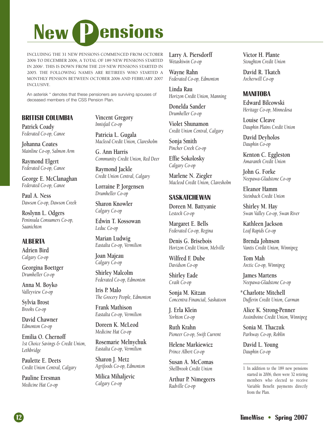# **New** *Pensions*

INCLUDING THE 31 NEW PENSIONS COMMENCED FROM OCTOBER 2006 TO DECEMBER 2006, A TOTAL OF 189 NEW PENSIONS STARTED IN 2006<sup>1</sup>. THIS IS DOWN FROM THE 219 NEW PENSIONS STARTED IN 2005. THE FOLLOWING NAMES ARE RETIREES WHO STARTED A MONTHLY PENSION BETWEEN OCTOBER 2006 AND FEBRUARY 2007 INCLUSIVE.

An asterisk \* denotes that these pensioners are surviving spouses of deceased members of the CSS Pension Plan.

#### **BRITISH COLUMBIA**

**Patrick Coady** *Federated Co-op, Canoe*

**Johanna Coates** *Mainline Co-op, Salmon Arm*

**Raymond Elgert** *Federated Co-op, Canoe*

**George E. McClanaghan** *Federated Co-op, Canoe*

**Paul A. Ness** *Dawson Co-op, Dawson Creek*

**Roslynn L. Odgers** *Peninsula Consumers Co-op, Saanichton*

#### **ALBERTA**

**Adrien Bird** *Calgary Co-op*

**Georgina Boettger** *Drumheller Co-op*

**Anna M. Boyko** *Valleyview Co-op*

**Sylvia Brost** *Brooks Co-op*

**David Chawner** *Edmonton Co-op*

**Emilia O. Chernoff** *1st Choice Savings & Credit Union, Lethbridge*

**Paulette E. Deets** *Credit Union Central, Calgary*

**Pauline Eresman** *Medicine Hat Co-op*

**Vincent Gregory** *Innisfail Co-op*

**Patricia L. Gugala** *Macleod Credit Union, Claresholm*

**G. Ann Harris** *Community Credit Union, Red Deer*

**Raymond Jackle** *Credit Union Central, Calgary*

**Lorraine P. Jorgensen** *Drumheller Co-op*

**Sharon Knowler** *Calgary Co-op*

**Edwin T. Kossowan** *Leduc Co-op*

**Marian Ludwig** *Eastalta Co-op, Vermilion*

**Joan Majeau** *Calgary Co-op*

**Shirley Malcolm** *Federated Co-op, Edmonton*

**Iris P. Malo** *The Grocery People, Edmonton*

**Frank Mathison** *Eastalta Co-op, Vermilion*

**Doreen K. McLeod** *Medicine Hat Co-op*

**Rosemarie Melnychuk** *Eastalta Co-op, Vermilion*

**Sharon J. Metz** *Agrifoods Co-op, Edmonton*

**Milica Mihaljevic** *Calgary Co-op*

**Larry A. Piersdorff** *Wetaskiwin Co-op*

**Wayne Rahn** *Federated Co-op, Edmonton*

**Linda Rau** *Horizon Credit Union, Manning*

**Donelda Sander** *Drumheller Co-op*

**Violet Shunamon** *Credit Union Central, Calgary*

**Sonja Smith** *Pincher Creek Co-op*

**Effie Sokolosky** *Calgary Co-op*

**Marlene N. Ziegler** *Macleod Credit Union, Claresholm*

#### **SASKATCHEWAN**

**Doreen M. Battyanie** *Lestock Co-op*

**Margaret E. Bells** *Federated Co-op, Regina*

**Denis G. Brisebois** *Horizon Credit Union, Melville*

**Wilfred F. Dube** *Davidson Co-op*

**Shirley Eade** *Craik Co-op*

**Sonja M. Kitzan** *Concentra Financial, Saskatoon*

**J. Erla Klein** *Yorkton Co-op*

**Ruth Krahn** *Pioneer Co-op, Swift Current*

**Helene Markiewicz** *Prince Albert Co-op*

**Susan A. McComas** *Shellbrook Credit Union*

**Arthur P. Nimegeers** *Radville Co-op*

**Victor H. Plante** *Stoughton Credit Union*

**David R. Tkatch** *Archerwill Co-op*

#### **MANITOBA**

**Edward Bilcowski** *Heritage Co-op, Minnedosa*

**Louise Cleave** *Dauphin Plains Credit Union*

**David Deyholos** *Dauphin Co-op*

**Kenton C. Eggleston** *Amaranth Credit Union*

**John G. Forke** *Neepawa-Gladstone Co-op*

**Eleanor Hamm** *Steinbach Credit Union*

**Shirley M. Hay** *Swan Valley Co-op, Swan River*

**Kathleen Jackson** *Leaf Rapids Co-op*

**Brenda Johnson** *Vantis Credit Union, Winnipeg*

**Tom Mah** *Arctic Co-op, Winnipeg*

**James Martens** *Neepawa-Gladstone Co-op*

**Charlotte Mitchell \****Dufferin Credit Union, Carman*

**Alice K. Strong-Penner** *Assiniboine Credit Union, Winnipeg*

**Sonia M. Thaczuk** *Parkway Co-op, Roblin*

**David L. Young** *Dauphin Co-op*

1 In addition to the 189 new pensions started in 2006, there were 32 retiring members who elected to receive Variable Benefit payments directly from the Plan.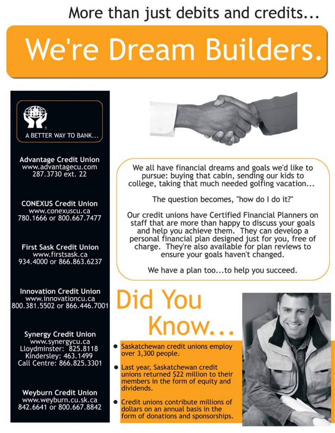More than just debits and credits...

# We're Dream Builders.



**Advantage Credit Union** www.advantagecu.com 287.3730 ext. 22

**CONEXUS Credit Union** www.conexuscu.ca 780.1666 or 800.667.7477

**First Sask Credit Union** www.firstsask.ca 934.4000 or 866.863.6237

**Innovation Credit Union** www.innovationcu.ca 800.381.5502 or 866.446.7001

**Synergy Credit Union** www.synergycu.ca<br>Lloydminster: 825.8118<br>Kindersley: 463.1499 Call Centre: 866.825.3301

**Weyburn Credit Union** www.weyburn.cu.sk.ca 842.6641 or 800.667.8842



We all have financial dreams and goals we'd like to pursue: buying that cabin, sending our kids to college, taking that much needed golfing vacation...

The question becomes, "how do I do it?"

Our credit unions have Certified Financial Planners on staff that are more than happy to discuss your goals<br>and help you achieve them. They can develop a personal financial plan designed just for you, free of charge. They're also available for plan reviews to ensure your goals haven't changed.

We have a plan too...to help you succeed.

Did You Know.

- Saskatchewan credit unions employ over 3,300 people.
- Last year, Saskatchewan credit unions returned \$22 million to their members in the form of equity and dividends.
- Credit unions contribute millions of dollars on an annual basis in the form of donations and sponsorships.